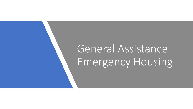# General Assistance Emergency Housing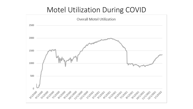### Motel Utilization During COVID

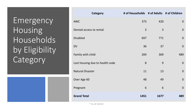Emergency Housing Households by Eligibility Category

| <b>Category</b>                 | # of Households # of Adults # of Children |      |                |
|---------------------------------|-------------------------------------------|------|----------------|
| <b>AWC</b>                      | 373                                       | 420  | $\mathbf 0$    |
| Denied access to rental         | $\overline{3}$                            | 3    | $\mathbf 0$    |
| <b>Disabled</b>                 | 697                                       | 771  | $\mathbf 0$    |
| <b>DV</b>                       | 36                                        | 37   | $\overline{0}$ |
| Family with child               | 269                                       | 369  | 489            |
| Lost housing due to health code | 8                                         | 9    | $\mathbf 0$    |
| <b>Natural Disaster</b>         | 11                                        | 13   | $\overline{0}$ |
| Over Age 60                     | 48                                        | 49   | $\overline{0}$ |
| Pregnant                        | 6                                         | 6    | $\overline{0}$ |
| <b>Grand Total</b>              | 1451                                      | 1677 | 489            |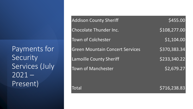Payments for Security Services (July  $2021 -$ Present)

| <b>Addison County Sheriff</b>          | \$455.00     |
|----------------------------------------|--------------|
| Chocolate Thunder Inc.                 | \$108,277.00 |
| <b>Town of Colchester</b>              | \$1,104.00   |
| <b>Green Mountain Concert Services</b> | \$370,383.34 |
| <b>Lamoille County Sheriff</b>         | \$233,340.22 |
| <b>Town of Manchester</b>              | \$2,679.27   |
| Total                                  | \$716,238.83 |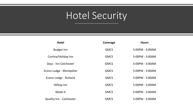## Hotel Security

| <b>Hotel</b>                    | Coverage    | <b>Hours</b>    |
|---------------------------------|-------------|-----------------|
| <b>Budget Inn</b>               | <b>GMCS</b> | 5:00PM - 3:00AM |
| Cortina/Holiday Inn             | <b>GMCS</b> | 5:00PM - 3:00AM |
| Days - Inn Colchester           | <b>GMCS</b> | 5:00PM - 3:00AM |
| Econo Lodge - Montpelier        | <b>GMCS</b> | 5:00PM - 3:00AM |
| Econo Lodge - Rutland           | <b>GMCS</b> | 5:00PM - 3:00AM |
| Hilltop Inn                     | <b>GMCS</b> | 5:00PM - 3:00AM |
| Motel 6                         | <b>GMCS</b> | 5:00PM - 3:00AM |
| <b>Quality Inn - Colchester</b> | <b>GMCS</b> | 5:00PM - 3:00AM |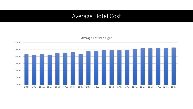#### Average Hotel Cost

\$0.00 \$20.00 \$40.00 \$60.00 \$80.00 \$100.00 \$120.00 20-Mar 20-Apr 20-May 20-Jun 20-Jul 20-Aug 20-Sep 20-Oct 20-Nov 20-Dec 21-Jan 21-Feb 21-Mar 21-Apr 21-May 21-Jun 21-Jul 21-Aug 21-Sep 21-Oct

**Average Cost Per Night**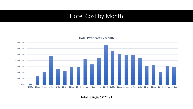#### Hotel Cost by Month

#### **Hotel Payments by Month**



Total: \$76,984,072.91